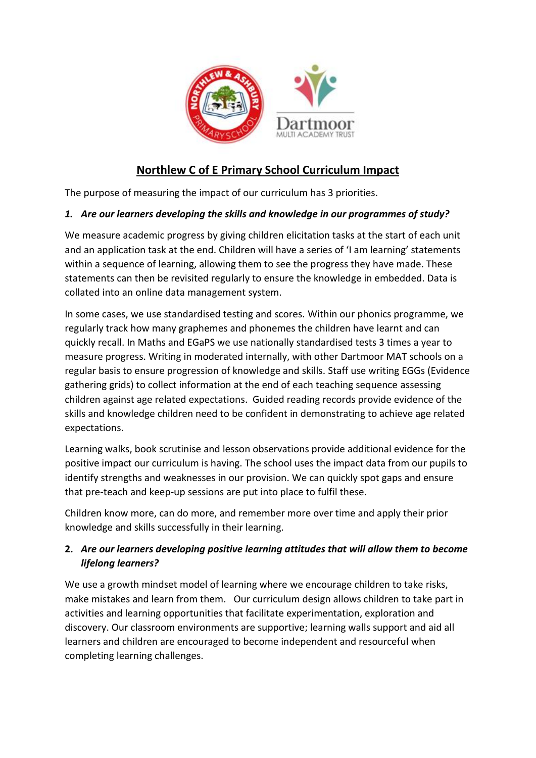

# **Northlew C of E Primary School Curriculum Impact**

The purpose of measuring the impact of our curriculum has 3 priorities.

#### *1. Are our learners developing the skills and knowledge in our programmes of study?*

We measure academic progress by giving children elicitation tasks at the start of each unit and an application task at the end. Children will have a series of 'I am learning' statements within a sequence of learning, allowing them to see the progress they have made. These statements can then be revisited regularly to ensure the knowledge in embedded. Data is collated into an online data management system.

In some cases, we use standardised testing and scores. Within our phonics programme, we regularly track how many graphemes and phonemes the children have learnt and can quickly recall. In Maths and EGaPS we use nationally standardised tests 3 times a year to measure progress. Writing in moderated internally, with other Dartmoor MAT schools on a regular basis to ensure progression of knowledge and skills. Staff use writing EGGs (Evidence gathering grids) to collect information at the end of each teaching sequence assessing children against age related expectations. Guided reading records provide evidence of the skills and knowledge children need to be confident in demonstrating to achieve age related expectations.

Learning walks, book scrutinise and lesson observations provide additional evidence for the positive impact our curriculum is having. The school uses the impact data from our pupils to identify strengths and weaknesses in our provision. We can quickly spot gaps and ensure that pre-teach and keep-up sessions are put into place to fulfil these.

Children know more, can do more, and remember more over time and apply their prior knowledge and skills successfully in their learning.

### **2.** *Are our learners developing positive learning attitudes that will allow them to become lifelong learners?*

We use a growth mindset model of learning where we encourage children to take risks, make mistakes and learn from them. Our curriculum design allows children to take part in activities and learning opportunities that facilitate experimentation, exploration and discovery. Our classroom environments are supportive; learning walls support and aid all learners and children are encouraged to become independent and resourceful when completing learning challenges.